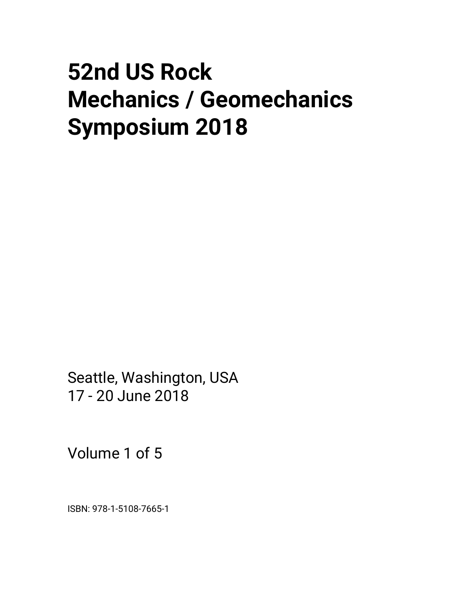# **52nd US Rock Mechanics / Geomechanics Symposium 2018**

Seattle, Washington, USA 17 - 20 June 2018

Volume 1 of 5

ISBN: 978-1-5108-7665-1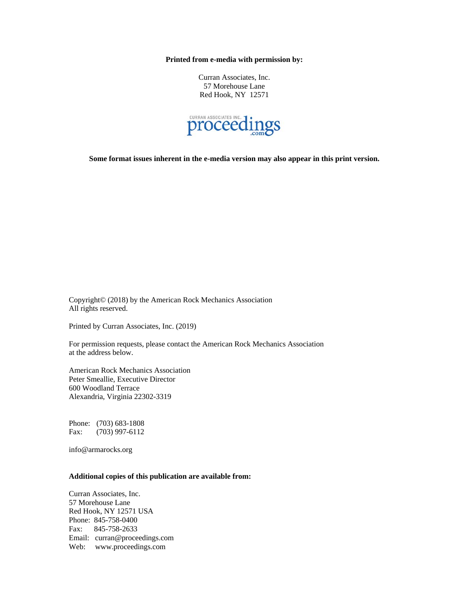**Printed from e-media with permission by:** 

Curran Associates, Inc. 57 Morehouse Lane Red Hook, NY 12571



**Some format issues inherent in the e-media version may also appear in this print version.** 

Copyright© (2018) by the American Rock Mechanics Association All rights reserved.

Printed by Curran Associates, Inc. (2019)

For permission requests, please contact the American Rock Mechanics Association at the address below.

American Rock Mechanics Association Peter Smeallie, Executive Director 600 Woodland Terrace Alexandria, Virginia 22302-3319

Phone: (703) 683-1808 Fax: (703) 997-6112

info@armarocks.org

# **Additional copies of this publication are available from:**

Curran Associates, Inc. 57 Morehouse Lane Red Hook, NY 12571 USA Phone: 845-758-0400 Fax: 845-758-2633 Email: curran@proceedings.com Web: www.proceedings.com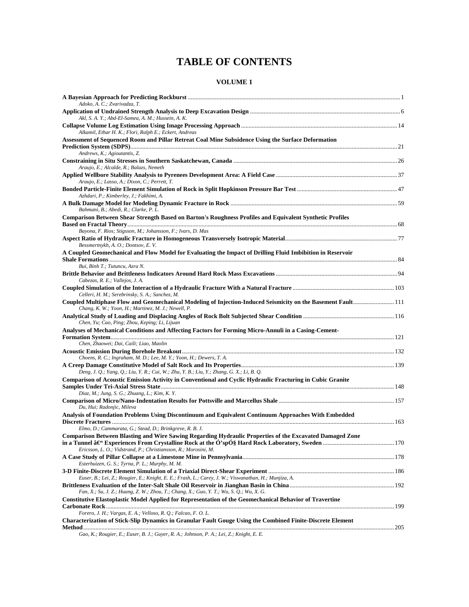# **TABLE OF CONTENTS**

# **VOLUME 1**

| Adoko, A. C.; Zvarivadza, T.                                                                                                                                                            |  |
|-----------------------------------------------------------------------------------------------------------------------------------------------------------------------------------------|--|
| Akl, S. A. Y.; Abd-El-Samea, A. M.; Hussein, A. K.                                                                                                                                      |  |
| Alkamil, Ethar H. K.; Flori, Ralph E.; Eckert, Andreas                                                                                                                                  |  |
| Assessment of Sequenced Room and Pillar Retreat Coal Mine Subsidence Using the Surface Deformation                                                                                      |  |
| Andrews, K.; Agioutantis, Z.                                                                                                                                                            |  |
| Araujo, E.; Alcalde, R.; Balazs, Nemeth                                                                                                                                                 |  |
| Araujo, E.; Lasso, A.; Dixon, C.; Perrett, T.                                                                                                                                           |  |
| Azhdari, P.; Kimberley, J.; Fakhimi, A.                                                                                                                                                 |  |
| Bahmani, B.; Abedi, R.; Clarke, P. L.                                                                                                                                                   |  |
| Comparison Between Shear Strength Based on Barton's Roughness Profiles and Equivalent Synthetic Profiles                                                                                |  |
| Bayona, F. Rios; Stigsson, M.; Johansson, F.; Ivars, D. Mas                                                                                                                             |  |
|                                                                                                                                                                                         |  |
| Bessmertnykh, A. O.; Dontsov, E. V.                                                                                                                                                     |  |
| A Coupled Geomechanical and Flow Model for Evaluating the Impact of Drilling Fluid Imbibition in Reservoir                                                                              |  |
|                                                                                                                                                                                         |  |
| Bui, Binh T.; Tutuncu, Azra N.                                                                                                                                                          |  |
| Cabezas, R. E.; Vallejos, J. A.                                                                                                                                                         |  |
| Celleri, H. M.; Serebrinsky, S. A.; Sanchez, M.                                                                                                                                         |  |
| Coupled Multiphase Flow and Geomechanical Modeling of Injection-Induced Seismicity on the Basement Fault 111<br>Chang, K. W.; Yoon, H.; Martinez, M. J.; Newell, P.                     |  |
| Chen, Yu; Cao, Ping; Zhou, Keping; Li, Lijuan                                                                                                                                           |  |
| Analyses of Mechanical Conditions and Affecting Factors for Forming Micro-Annuli in a Casing-Cement-                                                                                    |  |
|                                                                                                                                                                                         |  |
| Chen, Zhaowei; Dai, Caili; Liao, Maolin                                                                                                                                                 |  |
| Choens, R. C.; Ingraham, M. D.; Lee, M. Y.; Yoon, H.; Dewers, T. A.                                                                                                                     |  |
|                                                                                                                                                                                         |  |
| Deng, J. Q.; Yang, Q.; Liu, Y. R.; Cui, W.; Zhu, Y. B.; Liu, Y.; Zhang, G. X.; Li, B. Q.                                                                                                |  |
| Comparison of Acoustic Emission Activity in Conventional and Cyclic Hydraulic Fracturing in Cubic Granite                                                                               |  |
| Diaz, M.; Jung, S. G.; Zhuang, L.; Kim, K. Y.                                                                                                                                           |  |
|                                                                                                                                                                                         |  |
| Du, Hui; Radonjic, Mileva                                                                                                                                                               |  |
| Analysis of Foundation Problems Using Discontinuum and Equivalent Continuum Approaches With Embedded                                                                                    |  |
| Elmo, D.; Cammarata, G.; Stead, D.; Brinkgreve, R. B. J.                                                                                                                                |  |
| Comparison Between Blasting and Wire Sawing Regarding Hydraulic Properties of the Excavated Damaged Zone                                                                                |  |
| in a Tunnel â€' Experiences From Crystalline Rock at the O'spO§ Hard Rock Laboratory, Sweden ……………………………………………………………<br>Ericsson, L. O.; Vidstrand, P.; Christiansson, R.; Morosini, M. |  |
| Esterhuizen, G. S.; Tyrna, P. L.; Murphy, M. M.                                                                                                                                         |  |
|                                                                                                                                                                                         |  |
| Euser, B.; Lei, Z.; Rougier, E.; Knight, E. E.; Frash, L.; Carey, J. W.; Viswanathan, H.; Munjiza, A.                                                                                   |  |
| Fan, X.; Su, J. Z.; Huang, Z. W.; Zhou, T.; Chang, X.; Guo, Y. T.; Wu, S. Q.; Wu, X. G.                                                                                                 |  |
| Constitutive Elastoplastic Model Applied for Representation of the Geomechanical Behavior of Travertine                                                                                 |  |
|                                                                                                                                                                                         |  |
| Forero, J. H.; Vargas, E. A.; Velloso, R. Q.; Falcao, F. O. L.                                                                                                                          |  |
| <b>Characterization of Stick-Slip Dynamics in Granular Fault Gouge Using the Combined Finite-Discrete Element</b>                                                                       |  |
|                                                                                                                                                                                         |  |

*Gao, K.; Rougier, E.; Euser, B. J.; Guyer, R. A.; Johnson, P. A.; Lei, Z.; Knight, E. E.*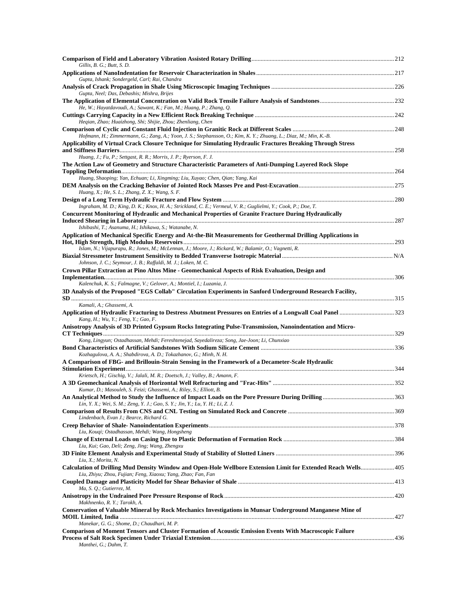| Gillis, B. G.; Butt, S. D.                                                                                                                                                                                              |      |
|-------------------------------------------------------------------------------------------------------------------------------------------------------------------------------------------------------------------------|------|
| Gupta, Ishank; Sondergeld, Carl; Rai, Chandra                                                                                                                                                                           |      |
| Gupta, Neel; Das, Debashis; Mishra, Brijes                                                                                                                                                                              |      |
| He, W.; Hayatdavoudi, A.; Sawant, K.; Fan, M.; Huang, P.; Zhang, Q.                                                                                                                                                     |      |
| Heqian, Zhao; Huaizhong, Shi; Shijie, Zhou; Zhenliang, Chen                                                                                                                                                             |      |
| Hofmann, H.; Zimmermann, G.; Zang, A.; Yoon, J. S.; Stephansson, O.; Kim, K. Y.; Zhuang, L.; Diaz, M.; Min, K.-B.                                                                                                       |      |
| Applicability of Virtual Crack Closure Technique for Simulating Hydraulic Fractures Breaking Through Stress                                                                                                             |      |
| Huang, J.; Fu, P.; Settgast, R. R.; Morris, J. P.; Ryerson, F. J.<br>The Action Law of Geometry and Structure Characteristic Parameters of Anti-Dumping Layered Rock Slope                                              |      |
| Huang, Shaoping; Yan, Echuan; Li, Xingming; Liu, Xuyao; Chen, Qian; Yang, Kai                                                                                                                                           |      |
| Huang, X.; He, S. L.; Zhang, Z. X.; Wang, S. F.                                                                                                                                                                         |      |
|                                                                                                                                                                                                                         |      |
| Ingraham, M. D.; King, D. K.; Knox, H. A.; Strickland, C. E.; Vermeul, V. R.; Guglielmi, Y.; Cook, P.; Doe, T.<br>Concurrent Monitoring of Hydraulic and Mechanical Properties of Granite Fracture During Hydraulically |      |
| Ishibashi, T.; Asanuma, H.; Ishikawa, S.; Watanabe, N.                                                                                                                                                                  |      |
| Application of Mechanical Specific Energy and At-the-Bit Measurements for Geothermal Drilling Applications in                                                                                                           |      |
| Islam, N.; Vijapurapu, R.; Jones, M.; McLennan, J.; Moore, J.; Rickard, W.; Balamir, O.; Vagnetti, R.                                                                                                                   |      |
| Johnson, J. C.; Seymour, J. B.; Raffaldi, M. J.; Loken, M. C.                                                                                                                                                           |      |
| Crown Pillar Extraction at Pino Altos Mine - Geomechanical Aspects of Risk Evaluation, Design and                                                                                                                       |      |
| Kalenchuk, K. S.; Falmagne, V.; Gelover, A.; Montiel, I.; Luzania, J.<br>3D Analysis of the Proposed "EGS Collab" Circulation Experiments in Sanford Underground Research Facility,                                     |      |
|                                                                                                                                                                                                                         |      |
| Kamali, A.; Ghassemi, A.<br>Application of Hydraulic Fracturing to Destress Abutment Pressures on Entries of a Longwall Coal Panel 323<br>Kang, H.; Wu, Y.; Feng, Y.; Gao, F.                                           |      |
| Anisotropy Analysis of 3D Printed Gypsum Rocks Integrating Pulse-Transmission, Nanoindentation and Micro-                                                                                                               |      |
| Kong, Lingyun; Ostadhassan, Mehdi; Fereshtenejad, Sayedalireza; Song, Jae-Joon; Li, Chunxiao                                                                                                                            |      |
| Kozhagulova, A. A.; Shabdirova, A. D.; Tokazhanov, G.; Minh, N. H.                                                                                                                                                      |      |
| A Comparison of FBG- and Brillouin-Strain Sensing in the Framework of a Decameter-Scale Hydraulic                                                                                                                       |      |
| Krietsch, H.; Gischig, V.; Jalali, M. R.; Doetsch, J.; Valley, B.; Amann, F.                                                                                                                                            |      |
| Kumar, D.; Masouleh, S. Feizi; Ghassemi, A.; Riley, S.; Elliott, B.                                                                                                                                                     |      |
| Lin, Y. X.; Wei, S. M.; Zeng, Y. J.; Gao, S. Y.; Jin, Y.; Lu, Y. H.; Li, Z. J.                                                                                                                                          | .363 |
| Lindenbach, Evan J.; Bearce, Richard G.                                                                                                                                                                                 |      |
| Liu, Kouqi; Ostadhassan, Mehdi; Wang, Hongsheng                                                                                                                                                                         |      |
| Liu, Kui; Gao, Deli; Zeng, Jing; Wang, Zhengxu                                                                                                                                                                          |      |
| Liu, X.; Morita, N.                                                                                                                                                                                                     |      |
| Calculation of Drilling Mud Density Window and Open-Hole Wellbore Extension Limit for Extended Reach Wells 405<br>Liu, Zhiyu; Zhou, Fujian; Feng, Xiaoxu; Yang, Zhao; Fan, Fan                                          |      |
| Ma, S. Q.; Gutierrez, M.                                                                                                                                                                                                |      |
| Makhnenko, R. Y.; Tarokh, A.                                                                                                                                                                                            |      |
| Conservation of Valuable Mineral by Rock Mechanics Investigations in Munsar Underground Manganese Mine of                                                                                                               |      |
| Manekar, G. G.; Shome, D.; Chaudhari, M. P.<br>Comparison of Moment Tensors and Cluster Formation of Acoustic Emission Events With Macroscopic Failure                                                                  |      |
| Manthei, G.; Dahm, T.                                                                                                                                                                                                   |      |
|                                                                                                                                                                                                                         |      |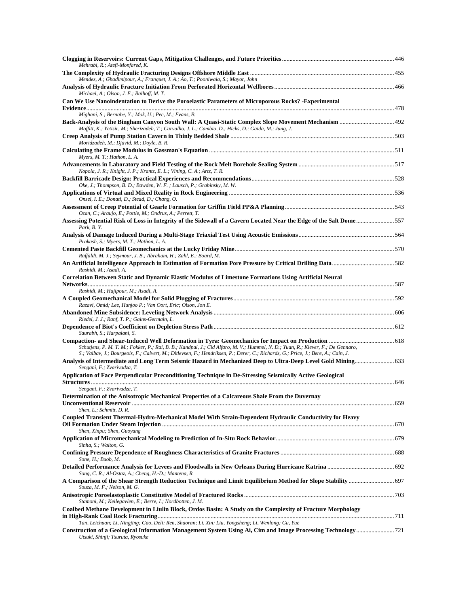| Mehrabi, R.; Atefi-Monfared, K.                                                                                                                                                                                                                   |  |
|---------------------------------------------------------------------------------------------------------------------------------------------------------------------------------------------------------------------------------------------------|--|
| Mendez, A.; Ghadimipour, A.; Franquet, J. A.; Ao, T.; Pooniwala, S.; Mayor, John                                                                                                                                                                  |  |
| Michael, A.; Olson, J. E.; Balhoff, M. T.                                                                                                                                                                                                         |  |
| Can We Use Nanoindentation to Derive the Poroelastic Parameters of Microporous Rocks? - Experimental                                                                                                                                              |  |
| Mighani, S.; Bernabe, Y.; Mok, U.; Pec, M.; Evans, B.                                                                                                                                                                                             |  |
| Moffitt, K.; Yetisir, M.; Sherizadeh, T.; Carvalho, J. L.; Cambio, D.; Hicks, D.; Gaida, M.; Jung, J.                                                                                                                                             |  |
| Moridzadeh, M.; Djavid, M.; Doyle, B. R.                                                                                                                                                                                                          |  |
| Myers, M. T.; Hathon, L. A.                                                                                                                                                                                                                       |  |
|                                                                                                                                                                                                                                                   |  |
| Nopola, J. R.; Knight, J. P.; Krantz, E. L.; Vining, C. A.; Artz, T. R.                                                                                                                                                                           |  |
| Oke, J.; Thompson, B. D.; Bawden, W. F.; Lausch, P.; Grabinsky, M. W.                                                                                                                                                                             |  |
| Onsel, I. E.; Donati, D.; Stead, D.; Chang, O.                                                                                                                                                                                                    |  |
|                                                                                                                                                                                                                                                   |  |
| Ozan, C.; Araujo, E.; Pottle, M.; Ondrus, A.; Perrett, T.<br>Assessing Potential Risk of Loss in Integrity of the Sidewall of a Cavern Located Near the Edge of the Salt Dome557                                                                  |  |
| Park, B.Y.                                                                                                                                                                                                                                        |  |
| Prakash, S.; Myers, M. T.; Hathon, L. A.                                                                                                                                                                                                          |  |
| Raffaldi, M. J.; Seymour, J. B.; Abraham, H.; Zahl, E.; Board, M.                                                                                                                                                                                 |  |
| Rashidi, M.; Asadi, A.                                                                                                                                                                                                                            |  |
| Correlation Between Static and Dynamic Elastic Modulus of Limestone Formations Using Artificial Neural                                                                                                                                            |  |
| Rashidi, M.; Hajipour, M.; Asadi, A.                                                                                                                                                                                                              |  |
| Razavi, Omid; Lee, Hunjoo P.; Van Oort, Eric; Olson, Jon E.                                                                                                                                                                                       |  |
|                                                                                                                                                                                                                                                   |  |
| Riedel, J. J.; Ranf, T. P.; Gains-Germain, L.                                                                                                                                                                                                     |  |
| Saurabh, S.; Harpalani, S.                                                                                                                                                                                                                        |  |
| Schutjens, P. M. T. M.; Fokker, P.; Rai, B. B.; Kandpal, J.; Cid Alfaro, M. V.; Hummel, N. D.; Yuan, R.; Klever, F.; De Gennaro,                                                                                                                  |  |
| S.; Vaibav, J.; Bourgeois, F.; Calvert, M.; Ditlevsen, F.; Hendriksen, P.; Derer, C.; Richards, G.; Price, J.; Bere, A.; Cain, J.<br>Analysis of Intermediate and Long Term Seismic Hazard in Mechanized Deep to Ultra-Deep Level Gold Mining 633 |  |
| Sengani, F.; Zvarivadza, T.                                                                                                                                                                                                                       |  |
| Application of Face Perpendicular Preconditioning Technique in De-Stressing Seismically Active Geological<br><b>Structures</b>                                                                                                                    |  |
| Sengani, F.; Zvarivadza, T.                                                                                                                                                                                                                       |  |
| Determination of the Anisotropic Mechanical Properties of a Calcareous Shale From the Duvernav                                                                                                                                                    |  |
| Shen, L.; Schmitt, D. R.                                                                                                                                                                                                                          |  |
| Coupled Transient Thermal-Hydro-Mechanical Model With Strain-Dependent Hydraulic Conductivity for Heavy                                                                                                                                           |  |
| Shen, Xinpu; Shen, Guoyang                                                                                                                                                                                                                        |  |
| Sinha, S.: Walton, G.                                                                                                                                                                                                                             |  |
| Sone, H.; Buob, M.                                                                                                                                                                                                                                |  |
| Song, C. R.; Al-Ostaz, A.; Cheng, H.-D.; Mantena, R.                                                                                                                                                                                              |  |
| A Comparison of the Shear Strength Reduction Technique and Limit Equilibrium Method for Slope Stability  697<br>Souza, M. F.; Nelson, M. G.                                                                                                       |  |
| Stamoni, M.; Keilegavlen, E.; Berre, I.; Nordbotten, J. M.                                                                                                                                                                                        |  |
| Coalbed Methane Development in Liulin Block, Ordos Basin: A Study on the Complexity of Fracture Morphology                                                                                                                                        |  |
| Tan, Leichuan; Li, Ningjing; Gao, Deli; Ren, Shaoran; Li, Xin; Liu, Yongsheng; Li, Wenlong; Gu, Yue                                                                                                                                               |  |
| Utsuki, Shinji; Tsuruta, Ryosuke                                                                                                                                                                                                                  |  |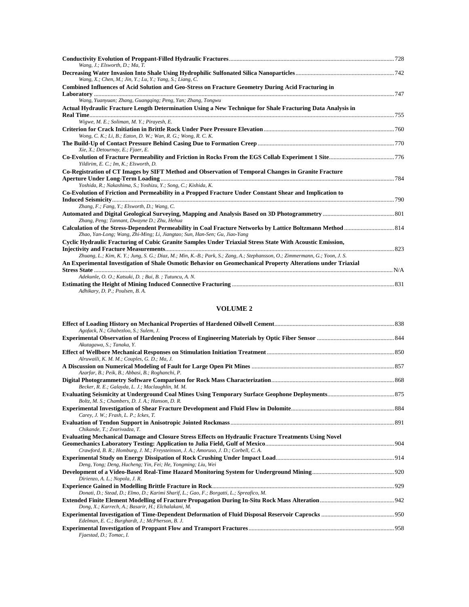| Wang, J.; Elsworth, D.; Ma, T.                                                                                              |  |
|-----------------------------------------------------------------------------------------------------------------------------|--|
| Wang, X.; Chen, M.; Jin, Y.; Lu, Y.; Yang, S.; Liang, C.                                                                    |  |
| Combined Influences of Acid Solution and Geo-Stress on Fracture Geometry During Acid Fracturing in                          |  |
| Wang, Yuanyuan; Zhang, Guangging; Peng, Yan; Zhang, Tongwu                                                                  |  |
| Actual Hydraulic Fracture Length Determination Using a New Technique for Shale Fracturing Data Analysis in                  |  |
| Wigwe, M. E.; Soliman, M. Y.; Pirayesh, E.                                                                                  |  |
| Wong, C. K.; Li, B.; Eaton, D. W.; Wan, R. G.; Wong, R. C. K.                                                               |  |
|                                                                                                                             |  |
| Xie, X.; Detournay, E.; Fjaer, E.                                                                                           |  |
| Yildirim, E. C.; Im, K.; Elsworth, D.                                                                                       |  |
| Co-Registration of CT Images by SIFT Method and Observation of Temporal Changes in Granite Fracture                         |  |
| Yoshida, R.; Nakashima, S.; Yoshizu, Y.; Song, C.; Kishida, K.                                                              |  |
| Co-Evolution of Friction and Permeability in a Propped Fracture Under Constant Shear and Implication to                     |  |
| Zhang, F.; Fang, Y.; Elsworth, D.; Wang, C.                                                                                 |  |
| Zhang, Peng; Tannant, Dwayne D.; Zhu, Hehua                                                                                 |  |
| Zhao, Yan-Long; Wang, Zhi-Ming; Li, Jiangtao; Sun, Han-Sen; Gu, Jiao-Yang                                                   |  |
| Cyclic Hydraulic Fracturing of Cubic Granite Samples Under Triaxial Stress State With Acoustic Emission,                    |  |
| Zhuang, L.; Kim, K. Y.; Jung, S. G.; Diaz, M.; Min, K.-B.; Park, S.; Zang, A.; Stephansson, O.; Zimmermann, G.; Yoon, J. S. |  |
| An Experimental Investigation of Shale Osmotic Behavior on Geomechanical Property Alterations under Triaxial                |  |
| Adekunle, O. O.; Katsuki, D.; Bui, B.; Tutuncu, A. N.                                                                       |  |
| Adhikary, D. P.; Poulsen, B. A.                                                                                             |  |

# **VOLUME 2**

| Agofack, N.; Ghabezloo, S.; Sulem, J.                                                                |  |
|------------------------------------------------------------------------------------------------------|--|
|                                                                                                      |  |
| Akutagawa, S.; Tanaka, Y.                                                                            |  |
|                                                                                                      |  |
| Alruwaili, K. M. M.; Couples, G. D.; Ma, J.                                                          |  |
| Azarfar, B.; Peik, B.; Abbasi, B.; Roghanchi, P.                                                     |  |
| Becker, R. E.; Galayda, L. J.; Maclaughlin, M. M.                                                    |  |
| Boltz, M. S.; Chambers, D. J. A.; Hanson, D. R.                                                      |  |
| Carey, J. W.; Frash, L. P.; Ickes, T.                                                                |  |
| Chikande, T.; Zvarivadza, T.                                                                         |  |
| Evaluating Mechanical Damage and Closure Stress Effects on Hydraulic Fracture Treatments Using Novel |  |
|                                                                                                      |  |
| Crawford, B. R.; Homburg, J. M.; Freysteinson, J. A.; Amoruso, J. D.; Corbell, C. A.                 |  |
| Deng, Yong; Deng, Hucheng; Yin, Fei; He, Yongming; Liu, Wei                                          |  |
| Dirienzo, A. L.; Nopola, J. R.                                                                       |  |
|                                                                                                      |  |
| Donati, D.; Stead, D.; Elmo, D.; Karimi Sharif, L.; Gao, F.; Borgatti, L.; Spreafico, M.             |  |
| Dong, X.; Karrech, A.; Basarir, H.; Elchalakani, M.                                                  |  |
| Edelman, E. C.; Burghardt, J.; McPherson, B. J.                                                      |  |
| Fjaestad, D.; Tomac, I.                                                                              |  |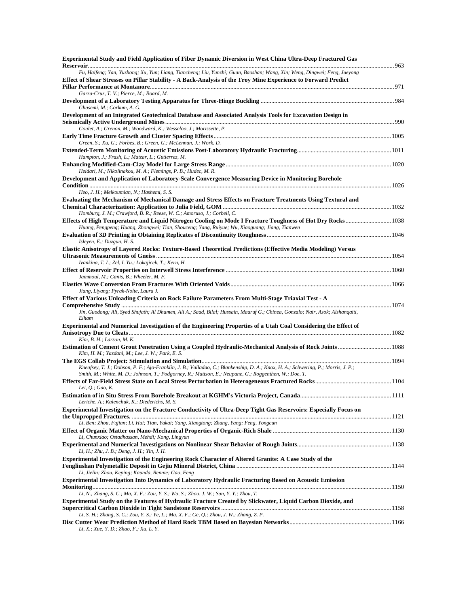| Experimental Study and Field Application of Fiber Dynamic Diversion in West China Ultra-Deep Fractured Gas                                                                                                                                  |  |
|---------------------------------------------------------------------------------------------------------------------------------------------------------------------------------------------------------------------------------------------|--|
| Fu, Haifeng; Yan, Yuzhong; Xu, Yun; Liang, Tiancheng; Liu, Yunzhi; Guan, Baoshan; Wang, Xin; Weng, Dingwei; Feng, Jueyong<br>Effect of Shear Stresses on Pillar Stability - A Back-Analysis of the Troy Mine Experience to Forward Predict  |  |
| Garza-Cruz, T. V.; Pierce, M.; Board, M.                                                                                                                                                                                                    |  |
| Ghasemi, M.; Corkum, A. G.                                                                                                                                                                                                                  |  |
| Development of an Integrated Geotechnical Database and Associated Analysis Tools for Excavation Design in                                                                                                                                   |  |
| Goulet, A.; Grenon, M.; Woodward, K.; Wesseloo, J.; Morissette, P.                                                                                                                                                                          |  |
| Green, S.; Xu, G.; Forbes, B.; Green, G.; McLennan, J.; Work, D.                                                                                                                                                                            |  |
| Hampton, J.; Frash, L.; Matzar, L.; Gutierrez, M.                                                                                                                                                                                           |  |
| Heidari, M.; Nikolinakou, M. A.; Flemings, P. B.; Hudec, M. R.                                                                                                                                                                              |  |
| Development and Application of Laboratory-Scale Convergence Measuring Device in Monitoring Borehole                                                                                                                                         |  |
| Heo, J. H.; Melkoumian, N.; Hashemi, S. S.                                                                                                                                                                                                  |  |
| Evaluating the Mechanism of Mechanical Damage and Stress Effects on Fracture Treatments Using Textural and                                                                                                                                  |  |
| Homburg, J. M.; Crawford, B. R.; Reese, W. C.; Amoruso, J.; Corbell, C.                                                                                                                                                                     |  |
| Huang, Pengpeng; Huang, Zhongwei; Tian, Shouceng; Yang, Ruiyue; Wu, Xiaoguang; Jiang, Tianwen                                                                                                                                               |  |
|                                                                                                                                                                                                                                             |  |
| Isleyen, E.; Duzgun, H. S.<br>Elastic Anisotropy of Layered Rocks: Texture-Based Theoretical Predictions (Effective Media Modeling) Versus                                                                                                  |  |
|                                                                                                                                                                                                                                             |  |
| Ivankina, T. I.; Zel, I. Yu.; Lokajicek, T.; Kern, H.                                                                                                                                                                                       |  |
| Jammoul, M.; Ganis, B.; Wheeler, M. F.                                                                                                                                                                                                      |  |
|                                                                                                                                                                                                                                             |  |
| Jiang, Liyang; Pyrak-Nolte, Laura J.<br>Effect of Various Unloading Criteria on Rock Failure Parameters From Multi-Stage Triaxial Test - A                                                                                                  |  |
|                                                                                                                                                                                                                                             |  |
| Jin, Guodong; Ali, Syed Shujath; Al Dhamen, Ali A.; Saad, Bilal; Hussain, Maaruf G.; Chinea, Gonzalo; Nair, Asok; Alshanqaiti,<br>Elham                                                                                                     |  |
| Experimental and Numerical Investigation of the Engineering Properties of a Utah Coal Considering the Effect of<br>Kim, B. H.; Larson, M. K.                                                                                                |  |
|                                                                                                                                                                                                                                             |  |
| Kim, H. M.; Yazdani, M.; Lee, J. W.; Park, E. S.                                                                                                                                                                                            |  |
| Kneafsey, T. J.; Dobson, P. F.; Ajo-Franklin, J. B.; Valladao, C.; Blankenship, D. A.; Knox, H. A.; Schwering, P.; Morris, J. P.;<br>Smith, M.; White, M. D.; Johnson, T.; Podgorney, R.; Mattson, E.; Neupane, G.; Roggenthen, W.; Doe, T. |  |
|                                                                                                                                                                                                                                             |  |
| Lei, Q.; Gao, K.                                                                                                                                                                                                                            |  |
| Leriche, A.; Kalenchuk, K.; Diederichs, M. S.<br>Experimental Investigation on the Fracture Conductivity of Ultra-Deep Tight Gas Reservoirs: Especially Focus on                                                                            |  |
|                                                                                                                                                                                                                                             |  |
| Li, Ben; Zhou, Fujian; Li, Hui; Tian, Yakai; Yang, Xiangtong; Zhang, Yang; Feng, Yongcun                                                                                                                                                    |  |
| Li, Chunxiao; Ostadhassan, Mehdi; Kong, Lingyun                                                                                                                                                                                             |  |
|                                                                                                                                                                                                                                             |  |
| Li, H.; Zhu, J. B.; Deng, J. H.; Yin, J. H.<br>Experimental Investigation of the Engineering Rock Character of Altered Granite: A Case Study of the                                                                                         |  |
| Li, Jielin; Zhou, Keping; Kaunda, Rennie; Gao, Feng                                                                                                                                                                                         |  |
| <b>Experimental Investigation Into Dynamics of Laboratory Hydraulic Fracturing Based on Acoustic Emission</b>                                                                                                                               |  |
| Li, N.; Zhang, S. C.; Ma, X. F.; Zou, Y. S.; Wu, S.; Zhou, J. W.; Sun, Y. Y.; Zhou, T.                                                                                                                                                      |  |
| Experimental Study on the Features of Hydraulic Fracture Created by Slickwater, Liquid Carbon Dioxide, and                                                                                                                                  |  |
| Li, S. H.; Zhang, S. C.; Zou, Y. S.; Ye, L.; Ma, X. F.; Ge, Q.; Zhou, J. W.; Zhang, Z. P.                                                                                                                                                   |  |
| Li, X.; Xue, Y. D.; Zhao, F.; Xu, L. Y.                                                                                                                                                                                                     |  |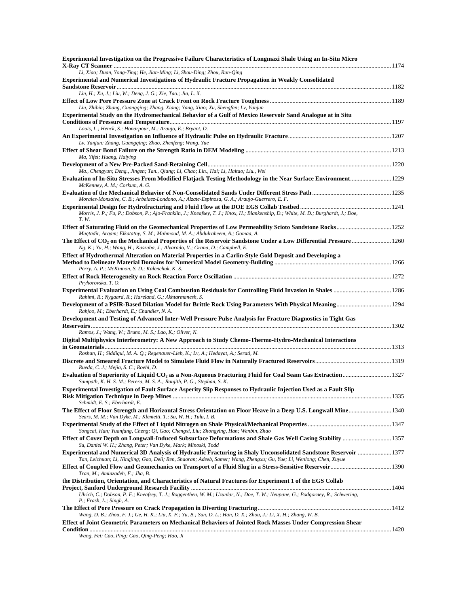| Experimental Investigation on the Progressive Failure Characteristics of Longmaxi Shale Using an In-Situ Micro                                                                                                                           |  |
|------------------------------------------------------------------------------------------------------------------------------------------------------------------------------------------------------------------------------------------|--|
| Li, Xiao; Duan, Yong-Ting; He, Jian-Ming; Li, Shou-Ding; Zhou, Run-Qing                                                                                                                                                                  |  |
| <b>Experimental and Numerical Investigations of Hydraulic Fracture Propagation in Weakly Consolidated</b>                                                                                                                                |  |
| Lin, H.; Xu, J.; Liu, W.; Deng, J. G.; Xie, Tao.; Jia, L. X.                                                                                                                                                                             |  |
|                                                                                                                                                                                                                                          |  |
| Liu, Zhibin; Zhang, Guangqing; Zhang, Xiang; Yang, Xiao; Xu, Shengfan; Lv, Yanjun                                                                                                                                                        |  |
| Experimental Study on the Hydromechanical Behavior of a Gulf of Mexico Reservoir Sand Analogue at in Situ                                                                                                                                |  |
| Louis, L.; Henck, S.; Honarpour, M.; Araujo, E.; Bryant, D.                                                                                                                                                                              |  |
|                                                                                                                                                                                                                                          |  |
| Lv, Yanjun; Zhang, Guangging; Zhao, Zhenfeng; Wang, Yue                                                                                                                                                                                  |  |
| Ma, Yifei; Huang, Haiying                                                                                                                                                                                                                |  |
|                                                                                                                                                                                                                                          |  |
| Ma., Chengyun; Deng., Jingen; Tan., Qiang; Li, Chao; Lin., Hai; Li, Haitao; Liu., Wei                                                                                                                                                    |  |
| Evaluation of In-Situ Stresses From Modified Flatjack Testing Methodology in the Near Surface Environment 1229<br>McKenney, A. M.; Corkum, A. G.                                                                                         |  |
|                                                                                                                                                                                                                                          |  |
| Morales-Monsalve, C. B.; Arbelaez-Londono, A.; Alzate-Espinosa, G. A.; Araujo-Guerrero, E. F.                                                                                                                                            |  |
|                                                                                                                                                                                                                                          |  |
| Morris, J. P.; Fu, P.; Dobson, P.; Ajo-Franklin, J.; Kneafsey, T. J.; Knox, H.; Blankenship, D.; White, M. D.; Burghardt, J.; Doe,<br>T. W.                                                                                              |  |
|                                                                                                                                                                                                                                          |  |
| Muqtadir, Arqam; Elkatatny, S. M.; Mahmoud, M. A.; Abdulraheem, A.; Gomaa, A.                                                                                                                                                            |  |
| The Effect of CO <sub>2</sub> on the Mechanical Properties of the Reservoir Sandstone Under a Low Differential Pressure 1260<br>Ng, K.; Yu, H.; Wang, H.; Kaszuba, J.; Alvarado, V.; Grana, D.; Campbell, E.                             |  |
| Effect of Hydrothermal Alteration on Material Properties in a Carlin-Style Gold Deposit and Developing a                                                                                                                                 |  |
|                                                                                                                                                                                                                                          |  |
| Perry, A. P.; McKinnon, S. D.; Kalenchuk, K. S.                                                                                                                                                                                          |  |
| Pryhorovska, T.O.                                                                                                                                                                                                                        |  |
| Experimental Evaluation on Using Coal Combustion Residuals for Controlling Fluid Invasion in Shales  1286                                                                                                                                |  |
| Rahimi, R.; Nygaard, R.; Hareland, G.; Akhtarmanesh, S.                                                                                                                                                                                  |  |
| Rahjoo, M.; Eberhardt, E.; Chandler, N. A.                                                                                                                                                                                               |  |
| Development and Testing of Advanced Inter-Well Pressure Pulse Analysis for Fracture Diagnostics in Tight Gas                                                                                                                             |  |
|                                                                                                                                                                                                                                          |  |
| Ramos, J.; Wang, W.; Bruno, M. S.; Lao, K.; Oliver, N.<br>Digital Multiphysics Interferometry: A New Approach to Study Chemo-Thermo-Hydro-Mechanical Interactions                                                                        |  |
|                                                                                                                                                                                                                                          |  |
| Roshan, H.; Siddiqui, M. A. Q.; Regenauer-Lieb, K.; Lv, A.; Hedayat, A.; Serati, M.                                                                                                                                                      |  |
| Rueda, C. J.; Mejia, S. C.; Roehl, D.                                                                                                                                                                                                    |  |
| Evaluation of Superiority of Liquid CO <sub>2</sub> as a Non-Aqueous Fracturing Fluid for Coal Seam Gas Extraction 1327                                                                                                                  |  |
| Sampath, K. H. S. M.; Perera, M. S. A.; Ranjith, P. G.; Stephan, S. K.                                                                                                                                                                   |  |
| Experimental Investigation of Fault Surface Asperity Slip Responses to Hydraulic Injection Used as a Fault Slip                                                                                                                          |  |
| Schmidt, E. S.; Eberhardt, E.                                                                                                                                                                                                            |  |
|                                                                                                                                                                                                                                          |  |
| Sears, M. M.; Van Dyke, M.; Klemetti, T.; Su, W. H.; Tulu, I. B.                                                                                                                                                                         |  |
| Songcai, Han; Yuanfang, Cheng; Qi, Gao; Chengxi, Liu; Zhongying, Han; Wenbin, Zhao                                                                                                                                                       |  |
| Effect of Cover Depth on Longwall-Induced Subsurface Deformations and Shale Gas Well Casing Stability  1357                                                                                                                              |  |
| Su, Daniel W. H.; Zhang, Peter; Van Dyke, Mark; Minoski, Todd                                                                                                                                                                            |  |
| Experimental and Numerical 3D Analysis of Hydraulic Fracturing in Shaly Unconsolidated Sandstone Reservoir  1377<br>Tan, Leichuan; Li, Ningjing; Gao, Deli; Ren, Shaoran; Adeeb, Samer; Wang, Zhengxu; Gu, Yue; Li, Wenlong; Chen, Xuyue |  |
|                                                                                                                                                                                                                                          |  |
| Tran, M.; Aminzadeh, F.; Jha, B.                                                                                                                                                                                                         |  |
| the Distribution, Orientation, and Characteristics of Natural Fractures for Experiment 1 of the EGS Collab                                                                                                                               |  |
| Ulrich, C.; Dobson, P. F.; Kneafsey, T. J.; Roggenthen, W. M.; Uzunlar, N.; Doe, T. W.; Neupane, G.; Podgorney, R.; Schwering,                                                                                                           |  |
| P.; Frash, L.; Singh, A.                                                                                                                                                                                                                 |  |
| Wang, D. B.; Zhou, F. J.; Ge, H. K.; Liu, X. F.; Yu, B.; Sun, D. L.; Han, D. X.; Zhou, J.; Li, X. H.; Zhang, W. B.                                                                                                                       |  |
| Effect of Joint Geometric Parameters on Mechanical Behaviors of Jointed Rock Masses Under Compression Shear                                                                                                                              |  |
|                                                                                                                                                                                                                                          |  |

*Wang, Fei; Cao, Ping; Gao, Qing-Peng; Hao, Ji*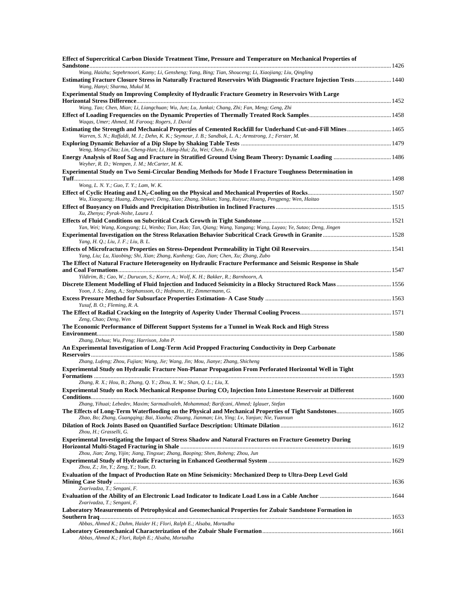| Effect of Supercritical Carbon Dioxide Treatment Time, Pressure and Temperature on Mechanical Properties of                                                                                                                                                    |  |
|----------------------------------------------------------------------------------------------------------------------------------------------------------------------------------------------------------------------------------------------------------------|--|
| Wang, Haizhu; Sepehrnoori, Kamy; Li, Gensheng; Yang, Bing; Tian, Shouceng; Li, Xiaojiang; Liu, Oingling<br>Estimating Fracture Closure Stress in Naturally Fractured Reservoirs With Diagnostic Fracture Injection Tests 1440<br>Wang, Hanyi; Sharma, Mukul M. |  |
| Experimental Study on Improving Complexity of Hydraulic Fracture Geometry in Reservoirs With Large                                                                                                                                                             |  |
| Wang, Tao; Chen, Mian; Li, Liangchuan; Wu, Jun; Lu, Junkai; Chang, Zhi; Fan, Meng; Geng, Zhi                                                                                                                                                                   |  |
|                                                                                                                                                                                                                                                                |  |
| Waqas, Umer; Ahmed, M. Farooq; Rogers, J. David                                                                                                                                                                                                                |  |
| Estimating the Strength and Mechanical Properties of Cemented Rockfill for Underhand Cut-and-Fill Mines 1465<br>Warren, S. N.; Raffaldi, M. J.; Dehn, K. K.; Seymour, J. B.; Sandbak, L. A.; Armstrong, J.; Ferster, M.                                        |  |
|                                                                                                                                                                                                                                                                |  |
| Weng, Meng-Chia; Lin, Cheng-Han; Li, Hung-Hui; Zu, Wei; Chen, Ji-Jie                                                                                                                                                                                           |  |
| Weyher, R. D.; Wempen, J. M.; McCarter, M. K.                                                                                                                                                                                                                  |  |
| Experimental Study on Two Semi-Circular Bending Methods for Mode I Fracture Toughness Determination in                                                                                                                                                         |  |
| Wong, L. N. Y.; Guo, T. Y.; Lam, W. K.                                                                                                                                                                                                                         |  |
|                                                                                                                                                                                                                                                                |  |
| Wu, Xiaoguang; Huang, Zhongwei; Deng, Xiao; Zhang, Shikun; Yang, Ruiyue; Huang, Pengpeng; Wen, Haitao                                                                                                                                                          |  |
| Xu, Zhenyu; Pyrak-Nolte, Laura J.                                                                                                                                                                                                                              |  |
|                                                                                                                                                                                                                                                                |  |
| Yan, Wei; Wang, Kongyang; Li, Wenbo; Tian, Hao; Tan, Qiang; Wang, Yangang; Wang, Luyao; Ye, Sutao; Deng, Jingen                                                                                                                                                |  |
| Yang, H. Q.; Liu, J. F.; Liu, B. L.                                                                                                                                                                                                                            |  |
|                                                                                                                                                                                                                                                                |  |
| Yang, Liu; Lu, Xiaobing; Shi, Xian; Zhang, Kunheng; Gao, Jian; Chen, Xu; Zhang, Zubo                                                                                                                                                                           |  |
| The Effect of Natural Fracture Heterogeneity on Hydraulic Fracture Performance and Seismic Response in Shale                                                                                                                                                   |  |
| Yildirim, B.; Cao, W.; Durucan, S.; Korre, A.; Wolf, K. H.; Bakker, R.; Barnhoorn, A.                                                                                                                                                                          |  |
| Discrete Element Modelling of Fluid Injection and Induced Seismicity in a Blocky Structured Rock Mass 1556                                                                                                                                                     |  |
| Yoon, J. S.; Zang, A.; Stephansson, O.; Hofmann, H.; Zimmermann, G.                                                                                                                                                                                            |  |
| Yusuf, B. O.; Fleming, R. A.                                                                                                                                                                                                                                   |  |
|                                                                                                                                                                                                                                                                |  |
| Zeng, Chao; Deng, Wen                                                                                                                                                                                                                                          |  |
| The Economic Performance of Different Support Systems for a Tunnel in Weak Rock and High Stress                                                                                                                                                                |  |
| Zhang, Dehua; Wu, Peng; Harrison, John P.                                                                                                                                                                                                                      |  |
| An Experimental Investigation of Long-Term Acid Propped Fracturing Conductivity in Deep Carbonate                                                                                                                                                              |  |
|                                                                                                                                                                                                                                                                |  |
| Zhang, Lufeng; Zhou, Fujian; Wang, Jie; Wang, Jin; Mou, Jianye; Zhang, Shicheng<br>Experimental Study on Hydraulic Fracture Non-Planar Propagation From Perforated Horizontal Well in Tight                                                                    |  |
|                                                                                                                                                                                                                                                                |  |
| Zhang, R. X.; Hou, B.; Zhang, Q. Y.; Zhou, X. W.; Shan, Q. L.; Liu, X.                                                                                                                                                                                         |  |
| Experimental Study on Rock Mechanical Response During CO <sub>2</sub> Injection Into Limestone Reservoir at Different                                                                                                                                          |  |
| Zhang, Yihuai; Lebedev, Maxim; Sarmadivaleh, Mohammad; Barifcani, Ahmed; Iglauer, Stefan                                                                                                                                                                       |  |
|                                                                                                                                                                                                                                                                |  |
| Zhao, Bo; Zhang, Guangging; Bai, Xiaohu; Zhuang, Jianman; Lin, Ying; Lv, Yanjun; Nie, Yuanxun                                                                                                                                                                  |  |
| Zhou, H.; Grasselli, G.                                                                                                                                                                                                                                        |  |
| Experimental Investigating the Impact of Stress Shadow and Natural Fractures on Fracture Geometry During                                                                                                                                                       |  |
|                                                                                                                                                                                                                                                                |  |
| Zhou, Jian; Zeng, Yijin; Jiang, Tingxue; Zhang, Baoping; Shen, Boheng; Zhou, Jun                                                                                                                                                                               |  |
| Zhou, Z.; Jin, Y.; Zeng, Y.; Youn, D.                                                                                                                                                                                                                          |  |
| Evaluation of the Impact of Production Rate on Mine Seismicity: Mechanized Deep to Ultra-Deep Level Gold                                                                                                                                                       |  |
|                                                                                                                                                                                                                                                                |  |
| Zvarivadza, T.; Sengani, F.                                                                                                                                                                                                                                    |  |
| Zvarivadza, T.; Sengani, F.                                                                                                                                                                                                                                    |  |
| Laboratory Measurements of Petrophysical and Geomechanical Properties for Zubair Sandstone Formation in                                                                                                                                                        |  |
|                                                                                                                                                                                                                                                                |  |
| Abbas, Ahmed K.; Dahm, Haider H.; Flori, Ralph E.; Alsaba, Mortadha                                                                                                                                                                                            |  |
| Abbas, Ahmed K.; Flori, Ralph E.; Alsaba, Mortadha                                                                                                                                                                                                             |  |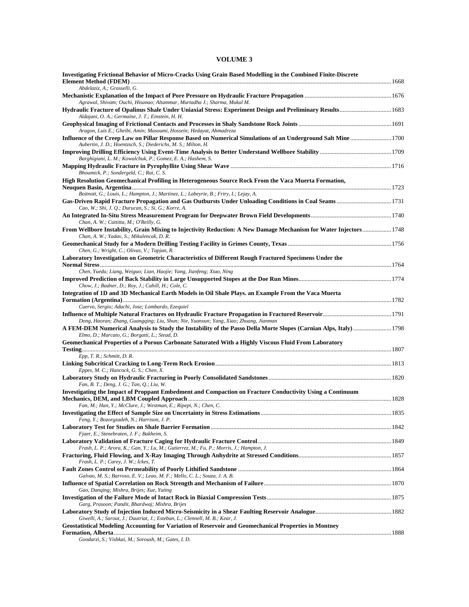#### **VOLUME 3**

| Investigating Frictional Behavior of Micro-Cracks Using Grain Based Modelling in the Combined Finite-Discrete<br>Abdelaziz, A.; Grasselli, G.                                                                    |  |
|------------------------------------------------------------------------------------------------------------------------------------------------------------------------------------------------------------------|--|
| Agrawal, Shivam; Ouchi, Hisanao; Altammar, Murtadha J.; Sharma, Mukul M.                                                                                                                                         |  |
| Aldajani, O. A.; Germaine, J. T.; Einstein, H. H.                                                                                                                                                                |  |
| Aragon, Luis E.; Gheibi, Amin; Masoumi, Hossein; Hedayat, Ahmadreza                                                                                                                                              |  |
| Influence of the Creep Law on Pillar Response Based on Numerical Simulations of an Underground Salt Mine1700<br>Aubertin, J. D.; Hoentzsch, S.; Diederichs, M. S.; Milton, H.                                    |  |
| Barghigiani, L. M.; Kowalchuk, P.; Gomez, E. A.; Hashem, S.                                                                                                                                                      |  |
| Bhoumick, P.; Sondergeld, C.; Rai, C. S.                                                                                                                                                                         |  |
| High Resolution Geomechanical Profiling in Heterogeneous Source Rock From the Vaca Muerta Formation,<br>Boitnott, G.; Louis, L.; Hampton, J.; Martinez, L.; Labeyrie, B.; Friry, I.; Lejay, A.                   |  |
| Cao, W.; Shi, J. Q.; Durucan, S.; Si, G.; Korre, A.                                                                                                                                                              |  |
| An Integrated In-Situ Stress Measurement Program for Deepwater Brown Field Developments……………………………………………………………………………<br>Chan, A. W.; Cuttitta, M.; O'Reilly, G.                                                  |  |
| From Wellbore Instability, Grain Mixing to Injectivity Reduction: A New Damage Mechanism for Water Injectors 1748<br>Chan, A. W.; Yadav, S.; Mikulencak, D. R.                                                   |  |
| Chen, G.; Wright, C.; Olivas, V.; Tapjan, R.                                                                                                                                                                     |  |
| Laboratory Investigation on Geometric Characteristics of Different Rough Fractured Specimens Under the                                                                                                           |  |
| Chen, Yuedu; Liang, Weiguo; Lian, Haojie; Yang, Jianfeng; Xiao, Ning                                                                                                                                             |  |
| Chow, J.; Badner, D.; Roy, J.; Cahill, H.; Cole, C.<br>Integration of 1D and 3D Mechanical Earth Models in Oil Shale Plays. an Example From the Vaca Muerta                                                      |  |
| Cuervo, Sergio; Adachi, Jose; Lombardo, Ezequiel                                                                                                                                                                 |  |
| Influence of Multiple Natural Fractures on Hydraulic Fracture Propagation in Fractured Reservoir……………………………………………………1791<br>Dong, Haoran; Zhang, Guangqing; Liu, Shun; Nie, Yuanxun; Yang, Xiao; Zhuang, Jianman |  |
| A FEM-DEM Numerical Analysis to Study the Instability of the Passo Della Morte Slopes (Carnian Alps, Italy)  1798<br>Elmo, D.; Marcato, G.; Borgatti, L.; Stead, D.                                              |  |
| Geomechanical Properties of a Porous Carbonate Saturated With a Highly Viscous Fluid From Laboratory                                                                                                             |  |
| Epp, T. R.; Schmitt, D. R.                                                                                                                                                                                       |  |
| Eppes, M. C.; Hancock, G. S.; Chen, X.                                                                                                                                                                           |  |
| Fan, B. T.; Deng, J. G.; Tan, Q.; Liu, W.<br>Investigating the Impact of Proppant Embedment and Compaction on Fracture Conductivity Using a Continuum                                                            |  |
| Fan, M.; Han, Y.; McClure, J.; Westman, E.; Ripepi, N.; Chen, C.                                                                                                                                                 |  |
| Feng, Y.; Bozorgzadeh, N.; Harrison, J. P.                                                                                                                                                                       |  |
| Fjaer, E.; Stenebraten, J. F.; Bakheim, S.                                                                                                                                                                       |  |
| Frash, L. P.; Arora, K.; Gan, Y.; Lu, M.; Gutierrez, M.; Fu, P.; Morris, J.; Hampton, J.                                                                                                                         |  |
| Frash, L. P.; Carey, J. W.; Ickes, T.                                                                                                                                                                            |  |
| Galvao, M. S.; Barroso, E. V.; Leao, M. F.; Mello, C. L.; Souza, J. A. B.                                                                                                                                        |  |
| Gao, Danqing; Mishra, Brijes; Xue, Yuting                                                                                                                                                                        |  |
| Garg, Prasoon; Pandit, Bhardwaj; Mishra, Brijes                                                                                                                                                                  |  |
| Giwelli, A.; Sarout, J.; Dautriat, J.; Esteban, L.; Clennell, M. B.; Kear, J.                                                                                                                                    |  |
| <b>Geostatistical Modeling Accounting for Variation of Reservoir and Geomechanical Properties in Montney</b>                                                                                                     |  |
|                                                                                                                                                                                                                  |  |

*Goodarzi, S.; Vishkai, M.; Soroush, M.; Gates, I. D.*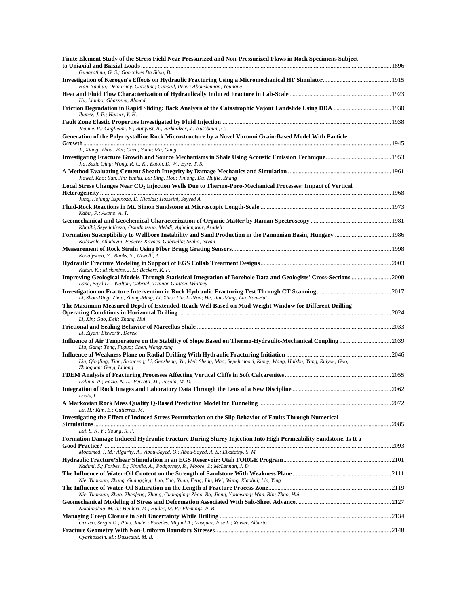| Finite Element Study of the Stress Field Near Pressurized and Non-Pressurized Flaws in Rock Specimens Subject                                                                                    |  |
|--------------------------------------------------------------------------------------------------------------------------------------------------------------------------------------------------|--|
| Gunarathna, G. S.; Goncalves Da Silva, B.                                                                                                                                                        |  |
| Han, Yanhui; Detournay, Christine; Cundall, Peter; Abousleiman, Younane                                                                                                                          |  |
| Hu, Lianbo; Ghassemi, Ahmad                                                                                                                                                                      |  |
| Ibanez, J. P.; Hatzor, Y. H.                                                                                                                                                                     |  |
| Jeanne, P.; Guglielmi, Y.; Rutqvist, R.; Birkholzer, J.; Nussbaum, C.                                                                                                                            |  |
| Generation of the Polycrystalline Rock Microstructure by a Novel Voronoi Grain-Based Model With Particle                                                                                         |  |
| Ji, Xiang; Zhou, Wei; Chen, Yuan; Ma, Gang                                                                                                                                                       |  |
|                                                                                                                                                                                                  |  |
| Jia, Suzie Qing; Wong, R. C. K.; Eaton, D. W.; Eyre, T. S.                                                                                                                                       |  |
| Jiawei, Kao; Yan, Jin; Yunhu, Lu; Bing, Hou; Jinlong, Du; Huijie, Zhang<br>Local Stress Changes Near CO <sub>2</sub> Injection Wells Due to Thermo-Poro-Mechanical Processes: Impact of Vertical |  |
| Jung, Hojung; Espinoza, D. Nicolas; Hosseini, Seyyed A.                                                                                                                                          |  |
|                                                                                                                                                                                                  |  |
| Kabir, P.; Akono, A. T.                                                                                                                                                                          |  |
| Khatibi, Seyedalireza; Ostadhassan, Mehdi; Aghajanpour, Azadeh                                                                                                                                   |  |
| Formation Susceptibility to Wellbore Instability and Sand Production in the Pannonian Basin, Hungary  1986<br>Kolawole, Oladoyin; Federer-Kovacs, Gabriella; Szabo, Istvan                       |  |
| Kovalyshen, Y.; Banks, S.; Giwelli, A.                                                                                                                                                           |  |
| Kutun, K.; Miskimins, J. L.; Beckers, K. F.                                                                                                                                                      |  |
| Improving Geological Models Through Statistical Integration of Borehole Data and Geologists' Cross-Sections  2008<br>Lane, Boyd D.; Walton, Gabriel; Trainor-Guitton, Whitney                    |  |
| Li, Shou-Ding; Zhou, Zhong-Ming; Li, Xiao; Liu, Li-Nan; He, Jian-Ming; Liu, Yan-Hui                                                                                                              |  |
| The Maximum Measured Depth of Extended-Reach Well Based on Mud Weight Window for Different Drilling                                                                                              |  |
| Li, Xin; Gao, Deli; Zhang, Hui                                                                                                                                                                   |  |
| Li, Ziyan; Elsworth, Derek                                                                                                                                                                       |  |
| Liu, Gang; Tong, Fuguo; Chen, Wangwang                                                                                                                                                           |  |
|                                                                                                                                                                                                  |  |
| Liu, Qingling; Tian, Shouceng; Li, Gensheng; Yu, Wei; Sheng, Mao; Sepehrnoori, Kamy; Wang, Haizhu; Yang, Ruiyue; Guo,<br>Zhaoquan; Geng, Lidong                                                  |  |
|                                                                                                                                                                                                  |  |
| Lollino, P.; Fazio, N. L.; Perrotti, M.; Pesola, M. D.                                                                                                                                           |  |
| Louis, L.                                                                                                                                                                                        |  |
| Lu, H.; Kim, E.; Gutierrez, M.                                                                                                                                                                   |  |
| Investigating the Effect of Induced Stress Perturbation on the Slip Behavior of Faults Through Numerical                                                                                         |  |
| Lui, S. K. Y.; Young, R. P.                                                                                                                                                                      |  |
| Formation Damage Induced Hydraulic Fracture During Slurry Injection Into High Permeability Sandstone. Is It a                                                                                    |  |
| Mohamed, I. M.; Algarhy, A.; Abou-Sayed, O.; Abou-Sayed, A. S.; Elkatatny, S. M                                                                                                                  |  |
| Nadimi, S.; Forbes, B.; Finnila, A.; Podgorney, R.; Moore, J.; McLennan, J. D.                                                                                                                   |  |
|                                                                                                                                                                                                  |  |
| Nie, Yuanxun; Zhang, Guangging; Luo, Yao; Yuan, Feng; Liu, Wei; Wang, Xiaohui; Lin, Ying                                                                                                         |  |
| Nie, Yuanxun; Zhao, Zhenfeng; Zhang, Guangqing; Zhao, Bo; Jiang, Yongwang; Wan, Bin; Zhao, Hui                                                                                                   |  |
| Nikolinakou, M. A.; Heidari, M.; Hudec, M. R.; Flemings, P. B.                                                                                                                                   |  |
|                                                                                                                                                                                                  |  |
| Orozco, Sergio O.; Pino, Javier; Paredes, Miguel A.; Vasquez, Jose L.; Xavier, Alberto                                                                                                           |  |
| Oyarhossein, M.; Dusseault, M. B.                                                                                                                                                                |  |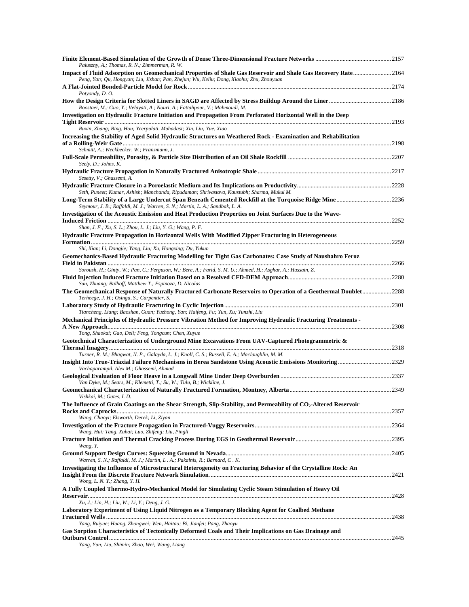| Paluszny, A.; Thomas, R. N.; Zimmerman, R. W.                                                                                                                                                             |  |
|-----------------------------------------------------------------------------------------------------------------------------------------------------------------------------------------------------------|--|
| Impact of Fluid Adsorption on Geomechanical Properties of Shale Gas Reservoir and Shale Gas Recovery Rate2164<br>Peng, Yan; Qu, Hongyan; Liu, Jishan; Pan, Zhejun; Wu, Keliu; Dong, Xiaohu; Zhu, Zhouyuan |  |
| Potyondy, D.O.                                                                                                                                                                                            |  |
| Roostaei, M.; Guo, Y.; Velayati, A.; Nouri, A.; Fattahpour, V.; Mahmoudi, M.                                                                                                                              |  |
| Investigation on Hydraulic Fracture Initiation and Propagation From Perforated Horizontal Well in the Deep                                                                                                |  |
| Ruxin, Zhang; Bing, Hou; Yeerpulati, Muhadasi; Xin, Liu; Yue, Xiao                                                                                                                                        |  |
| Increasing the Stability of Aged Solid Hydraulic Structures on Weathered Rock - Examination and Rehabilitation<br>Schmitt, A.; Weckbecker, W.; Franzmann, J.                                              |  |
| Seely, D.; Johns, K.                                                                                                                                                                                      |  |
|                                                                                                                                                                                                           |  |
| Sesetty, V.; Ghassemi, A.                                                                                                                                                                                 |  |
| Seth, Puneet; Kumar, Ashish; Manchanda, Ripudaman; Shrivastava, Kaustubh; Sharma, Mukul M.                                                                                                                |  |
| Seymour, J. B.; Raffaldi, M. J.; Warren, S. N.; Martin, L. A.; Sandbak, L. A.                                                                                                                             |  |
| Investigation of the Acoustic Emission and Heat Production Properties on Joint Surfaces Due to the Wave-                                                                                                  |  |
| Shan, J. F.; Xu, S. L.; Zhou, L. J.; Liu, Y. G.; Wang, P. F.                                                                                                                                              |  |
| Hydraulic Fracture Propagation in Horizontal Wells With Modified Zipper Fracturing in Heterogeneous                                                                                                       |  |
| Shi, Xian; Li, Dongjie; Yang, Liu; Xu, Hongxing; Du, Yukun                                                                                                                                                |  |
| Geomechanics-Based Hydraulic Fracturing Modelling for Tight Gas Carbonates: Case Study of Naushahro Feroz                                                                                                 |  |
| Soroush, H.; Ginty, W.; Pan, C.; Ferguson, W.; Bere, A.; Farid, S. M. U.; Ahmed, H.; Asghar, A.; Hussain, Z.                                                                                              |  |
| Sun, Zhuang; Balhoff, Matthew T.; Espinoza, D. Nicolas                                                                                                                                                    |  |
| The Geomechanical Response of Naturally Fractured Carbonate Reservoirs to Operation of a Geothermal Doublet2288<br>Terheege, J. H.; Osinga, S.; Carpentier, S.                                            |  |
|                                                                                                                                                                                                           |  |
| Tiancheng, Liang; Baoshan, Guan; Yuzhong, Yan; Haifeng, Fu; Yun, Xu; Yunzhi, Liu                                                                                                                          |  |
| Mechanical Principles of Hydraulic Pressure Vibration Method for Improving Hydraulic Fracturing Treatments -                                                                                              |  |
| Tong, Shaokai; Gao, Deli; Feng, Yongcun; Chen, Xuyue<br>Geotechnical Characterization of Underground Mine Excavations From UAV-Captured Photogrammetric &                                                 |  |
|                                                                                                                                                                                                           |  |
| Turner, R. M.; Bhagwat, N. P.; Galayda, L. J.; Knoll, C. S.; Russell, E. A.; Maclaughlin, M. M.                                                                                                           |  |
| Vachaparampil, Alex M.; Ghassemi, Ahmad                                                                                                                                                                   |  |
| Van Dyke, M.; Sears, M.; Klemetti, T.; Su, W.; Tulu, B.; Wickline, J.                                                                                                                                     |  |
|                                                                                                                                                                                                           |  |
| Vishkai, M.; Gates, I. D.                                                                                                                                                                                 |  |
| The Influence of Grain Coatings on the Shear Strength, Slip-Stability, and Permeability of CO <sub>2</sub> -Altered Reservoir                                                                             |  |
| Wang, Chaoyi; Elsworth, Derek; Li, Ziyan                                                                                                                                                                  |  |
| Wang, Hui; Tang, Xuhai; Luo, Zhifeng; Liu, Pingli                                                                                                                                                         |  |
| Wang, Y.                                                                                                                                                                                                  |  |
| Warren, S. N.; Raffaldi, M. J.; Martin, L. A.; Pakalnis, R.; Barnard, C. K.                                                                                                                               |  |
| Investigating the Influence of Microstructural Heterogeneity on Fracturing Behavior of the Crystalline Rock: An                                                                                           |  |
| Wong, L. N. Y.; Zhang, Y. H.<br>A Fully Coupled Thermo-Hydro-Mechanical Model for Simulating Cyclic Steam Stimulation of Heavy Oil                                                                        |  |
| Xu, J.; Lin, H.; Liu, W.; Li, Y.; Deng, J. G.                                                                                                                                                             |  |
| Laboratory Experiment of Using Liquid Nitrogen as a Temporary Blocking Agent for Coalbed Methane                                                                                                          |  |
|                                                                                                                                                                                                           |  |
| Yang, Ruiyue; Huang, Zhongwei; Wen, Haitao; Bi, Jianfei; Pang, Zhaoyu<br>Gas Sorption Characteristics of Tectonically Deformed Coals and Their Implications on Gas Drainage and                           |  |
|                                                                                                                                                                                                           |  |
| Yang, Yun; Liu, Shimin; Zhao, Wei; Wang, Liang                                                                                                                                                            |  |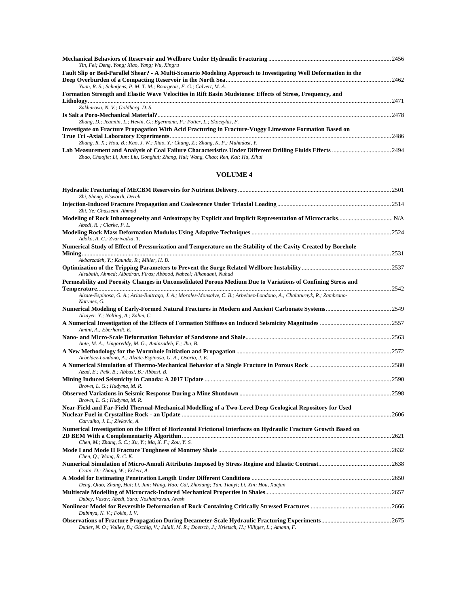| Yin, Fei; Deng, Yong; Xiao, Yang; Wu, Xingru                                                                    |      |
|-----------------------------------------------------------------------------------------------------------------|------|
| Fault Slip or Bed-Parallel Shear? - A Multi-Scenario Modeling Approach to Investigating Well Deformation in the |      |
|                                                                                                                 | 2462 |
| Yuan, R. S.; Schutjens, P. M. T. M.; Bourgeois, F. G.; Calvert, M. A.                                           |      |
| Formation Strength and Elastic Wave Velocities in Rift Basin Mudstones: Effects of Stress, Frequency, and       |      |
|                                                                                                                 | 2471 |
| Zakharova, N. V.; Goldberg, D. S.                                                                               |      |
|                                                                                                                 | 2478 |
| Zhang, D.; Jeannin, L.; Hevin, G.; Egermann, P.; Potier, L.; Skoczylas, F.                                      |      |
| Investigate on Fracture Propagation With Acid Fracturing in Fracture-Vuggy Limestone Formation Based on         |      |
|                                                                                                                 | 2486 |
| Zhang, R. X.; Hou, B.; Kao, J. W.; Xiao, Y.; Chang, Z.; Zhang, K. P.; Muhadasi, Y.                              |      |
| Zhao, Chaojie; Li, Jun; Liu, Gonghui; Zhang, Hui; Wang, Chao; Ren, Kai; Hu, Xihui                               | 2494 |

#### **VOLUME 4**

| Zhi, Sheng; Elsworth, Derek                                                                                                                                              |  |
|--------------------------------------------------------------------------------------------------------------------------------------------------------------------------|--|
| Zhi, Ye; Ghassemi, Ahmad                                                                                                                                                 |  |
| Abedi, R. ; Clarke, P. L.                                                                                                                                                |  |
| Adoko, A. C.; Zvarivadza, T.                                                                                                                                             |  |
| Numerical Study of Effect of Pressurization and Temperature on the Stability of the Cavity Created by Borehole                                                           |  |
| Akbarzadeh, Y.; Kaunda, R.; Miller, H. B.<br>Alsubaih, Ahmed; Albadran, Firas; Abbood, Nabeel; Alkanaani, Nuhad                                                          |  |
| Permeability and Porosity Changes in Unconsolidated Porous Medium Due to Variations of Confining Stress and                                                              |  |
| Alzate-Espinosa, G. A.; Arias-Buitrago, J. A.; Morales-Monsalve, C. B.; Arbelaez-Londono, A.; Chalaturnyk, R.; Zambrano-<br>Narvaez, G.                                  |  |
| Alzayer, Y.; Nolting, A.; Zahm, C.                                                                                                                                       |  |
| Amini, A.; Eberhardt, E.                                                                                                                                                 |  |
| Ante, M. A.; Lingareddy, M. G.; Aminzadeh, F.; Jha, B.                                                                                                                   |  |
| Arbelaez-Londono, A.; Alzate-Espinosa, G. A.; Osorio, J. E.                                                                                                              |  |
| Azad, E.; Peik, B.; Abbasi, B.; Abbasi, B.                                                                                                                               |  |
| Brown, L. G.; Hudyma, M. R.                                                                                                                                              |  |
| Brown, L. G.; Hudyma, M. R.                                                                                                                                              |  |
| Near-Field and Far-Field Thermal-Mechanical Modelling of a Two-Level Deep Geological Repository for Used<br>Carvalho, J. L.; Zivkovic, A.                                |  |
| Numerical Investigation on the Effect of Horizontal Frictional Interfaces on Hydraulic Fracture Growth Based on<br>Chen, M.; Zhang, S. C.; Xu, Y.; Ma, X. F.; Zou, Y. S. |  |
| Chen, Q.; Wong, R. C. K.                                                                                                                                                 |  |
| Crain, D.; Zhang, W.; Eckert, A.                                                                                                                                         |  |
| Deng, Qiao; Zhang, Hui; Li, Jun; Wang, Hao; Cai, Zhixiang; Tan, Tianyi; Li, Xin; Hou, Xuejun                                                                             |  |
| Dubey, Vasav; Abedi, Sara; Noshadravan, Arash                                                                                                                            |  |
| Dubinya, N. V.; Fokin, I. V.                                                                                                                                             |  |
|                                                                                                                                                                          |  |

*Dutler, N. O.; Valley, B.; Gischig, V.; Jalali, M. R.; Doetsch, J.; Krietsch, H.; Villiger, L.; Amann, F.*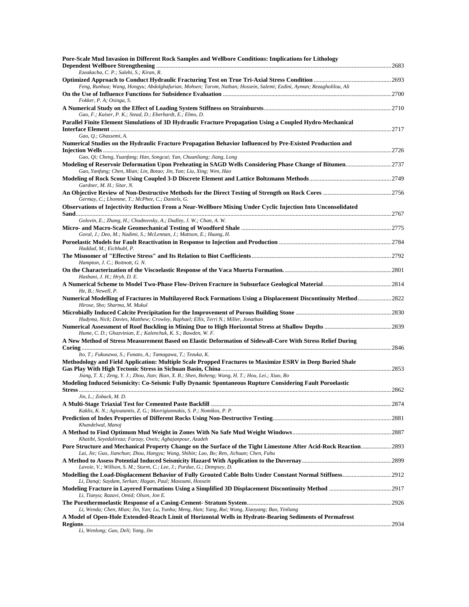| Pore-Scale Mud Invasion in Different Rock Samples and Wellbore Conditions: Implications for Lithology                                                    |  |
|----------------------------------------------------------------------------------------------------------------------------------------------------------|--|
| Ezeakacha, C. P.; Salehi, S.; Kiran, R.                                                                                                                  |  |
| Feng, Runhua; Wang, Hongyu; Abdolghafurian, Mohsen; Tarom, Nathan; Hossein, Salemi; Ezdini, Ayman; Rezagholilou, Ali                                     |  |
| Fokker, P. A; Osinga, S.                                                                                                                                 |  |
| Gao, F.; Kaiser, P. K.; Stead, D.; Eberhardt, E.; Elmo, D.                                                                                               |  |
| Parallel Finite Element Simulations of 3D Hydraulic Fracture Propagation Using a Coupled Hydro-Mechanical                                                |  |
| Gao, Q.; Ghassemi, A.                                                                                                                                    |  |
| Numerical Studies on the Hydraulic Fracture Propagation Behavior Influenced by Pre-Existed Production and                                                |  |
| Gao, Qi; Cheng, Yuanfang; Han, Songcai; Yan, Chuanliang; Jiang, Long                                                                                     |  |
| Gao, Yanfang; Chen, Mian; Lin, Botao; Jin, Yan; Liu, Xing; Wen, Hao                                                                                      |  |
| Gardner, M. H.; Sitar, N.                                                                                                                                |  |
| Germay, C.; Lhomme, T.; McPhee, C.; Daniels, G.                                                                                                          |  |
| Observations of Injectivity Reduction From a Near-Wellbore Mixing Under Cyclic Injection Into Unconsolidated                                             |  |
| Golovin, E.; Zhang, H.; Chudnovsky, A.; Dudley, J. W.; Chan, A. W.                                                                                       |  |
| Goral, J.; Deo, M.; Nadimi, S.; McLennan, J.; Mattson, E.; Huang, H.                                                                                     |  |
| Haddad, M.; Eichhubl, P.                                                                                                                                 |  |
| Hampton, J. C.; Boitnott, G. N.                                                                                                                          |  |
| Hasbani, J. H.; Hryb, D. E.                                                                                                                              |  |
| He, B.; Newell, P.                                                                                                                                       |  |
| Numerical Modelling of Fractures in Multilayered Rock Formations Using a Displacement Discontinuity Method ……………………2822<br>Hirose, Sho; Sharma, M. Mukul |  |
| Hudyma, Nick; Davies, Matthew; Crowley, Raphael; Ellis, Terri N.; Miller, Jonathan                                                                       |  |
| Hume, C. D.; Ghazvinian, E.; Kalenchuk, K. S.; Bawden, W. F.                                                                                             |  |
| A New Method of Stress Measurement Based on Elastic Deformation of Sidewall-Core With Stress Relief During                                               |  |
| Ito, T.; Fukusawa, S.; Funato, A.; Tamagawa, T.; Tezuka, K.                                                                                              |  |
| Methodology and Field Application: Multiple Scale Propped Fractures to Maximize ESRV in Deep Buried Shale                                                |  |
| Jiang, T. X.; Zeng, Y. J.; Zhou, Jian; Bian, X. B.; Shen, Boheng; Wang, H. T.; Hou, Lei.; Xiao, Bo                                                       |  |
| Modeling Induced Seismicity: Co-Seismic Fully Dynamic Spontaneous Rupture Considering Fault Poroelastic                                                  |  |
| Jin, L.; Zoback, M. D.                                                                                                                                   |  |
| Kaklis, K. N.; Agioutantis, Z. G.; Mavrigiannakis, S. P.; Nomikos, P. P.                                                                                 |  |
| Khandelwal, Manoj                                                                                                                                        |  |
| Khatibi, Seyedalireza; Farzay, Oveis; Aghajanpour, Azadeh                                                                                                |  |
| Lai, Jie; Guo, Jianchun; Zhou, Hangyu; Wang, Shibin; Luo, Bo; Ren, Jichuan; Chen, Fuhu                                                                   |  |
| Lavoie, V.; Willson, S. M.; Sturm, C.; Lee, J.; Purdue, G.; Dempsey, D.                                                                                  |  |
| Li, Danqi; Saydam, Serkan; Hagan, Paul; Masoumi, Hossein                                                                                                 |  |
| Li, Tianyu; Razavi, Omid; Olson, Jon E.                                                                                                                  |  |
| Li, Wenda; Chen, Mian; Jin, Yan; Lu, Yunhu; Meng, Han; Yang, Rui; Wang, Xiaoyang; Bao, Yinliang                                                          |  |
| A Model of Open-Hole Extended-Reach Limit of Horizontal Wells in Hydrate-Bearing Sediments of Permafrost                                                 |  |
| Li, Wenlong; Gao, Deli; Yang, Jin                                                                                                                        |  |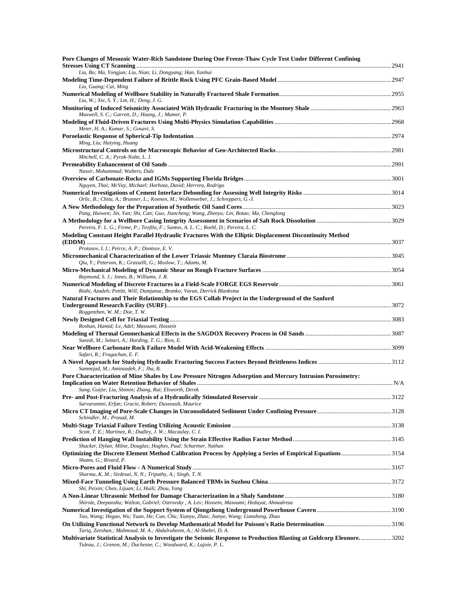| Pore Changes of Mesozoic Water-Rich Sandstone During One Freeze-Thaw Cycle Test Under Different Confining                                                                                           |      |
|-----------------------------------------------------------------------------------------------------------------------------------------------------------------------------------------------------|------|
| Liu, Bo; Ma, Yongjun; Liu, Nian; Li, Dongyang; Han, Yanhui                                                                                                                                          |      |
| Liu, Guang; Cai, Ming                                                                                                                                                                               |      |
| Liu, W.; Xie, S. Y.; Lm, H.; Deng, J. G.                                                                                                                                                            |      |
| Maxwell, S. C.; Garrett, D.; Huang, J.; Mamer, P.                                                                                                                                                   |      |
| Meier, H. A.; Kumar, S.; Gosavi, S.                                                                                                                                                                 |      |
| Ming, Liu; Haiying, Huang                                                                                                                                                                           |      |
| Mitchell, C. A.; Pyrak-Nolte, L. J.                                                                                                                                                                 |      |
| Nassir, Mohammad; Walters, Dale                                                                                                                                                                     |      |
|                                                                                                                                                                                                     |      |
| Nguyen, Thai; McVay, Michael; Horhota, David; Herrera, Rodrigo                                                                                                                                      |      |
| Orlic, B.; Chitu, A.; Brunner, L.; Koenen, M.; Wollenweber, J.; Schreppers, G.-J.                                                                                                                   |      |
| Pang, Huiwen; Jin, Yan; Shi, Can; Guo, Jiancheng; Wang, Zhenyu; Lin, Botao; Ma, Chenglong                                                                                                           |      |
|                                                                                                                                                                                                     |      |
| Pereira, F. L. G.; Firme, P.; Teofilo, F.; Santos, A. L. C.; Roehl, D.; Pereira, L. C.<br>Modeling Constant Height Parallel Hydraulic Fractures With the Elliptic Displacement Discontinuity Method |      |
|                                                                                                                                                                                                     |      |
| Protasov, I. I.; Peirce, A. P.; Dontsov, E. V.                                                                                                                                                      |      |
| Oiu, Y.; Peterson, K.; Grasselli, G.; Moslow, T.; Adams, M.                                                                                                                                         |      |
| Raymond, S. J.; Jones, B.; Williams, J. R.                                                                                                                                                          |      |
|                                                                                                                                                                                                     |      |
| Riahi, Azadeh; Pettitt, Will; Damjanac, Branko; Varun, Derrick Blanksma<br>Natural Fractures and Their Relationship to the EGS Collab Project in the Underground of the Sanford                     |      |
|                                                                                                                                                                                                     |      |
| Roggenthen, W. M.; Doe, T. W.                                                                                                                                                                       |      |
| Roshan, Hamid; Lv, Adel; Masoumi, Hossein                                                                                                                                                           |      |
| Saeedi, M.; Settari, A.; Harding, T. G.; Rios, E.                                                                                                                                                   |      |
|                                                                                                                                                                                                     |      |
| Safari, R.; Fragachan, E. F.                                                                                                                                                                        |      |
| Samnejad, M.; Aminzadeh, F.; Jha, B.                                                                                                                                                                |      |
| Pore Characterization of Mine Shales by Low Pressure Nitrogen Adsorption and Mercury Intrusion Porosimetry:                                                                                         |      |
| Sang, Guijie; Liu, Shimin; Zhang, Rui; Elsworth, Derek                                                                                                                                              | 3122 |
| Sarvaramini, Erfan; Gracie, Robert; Dusseault, Maurice                                                                                                                                              |      |
| Schindler, M.; Prasad, M.                                                                                                                                                                           |      |
| Scott, T. E.; Martinez, R.; Dudley, J. W.; Macaulay, C. I.                                                                                                                                          |      |
| Shacker, Dylan; Milne, Douglas; Hughes, Paul; Schartner, Nathan<br>Optimizing the Discrete Element Method Calibration Process by Applying a Series of Empirical Equations3154                       |      |
| Shams, G.; Rivard, P.                                                                                                                                                                               |      |
| Sharma, K. M.; Sirdesai, N. N.; Tripathy, A.; Singh, T. N.                                                                                                                                          |      |
| Shi, Peixin; Chen, Lijuan; Li, Huili; Zhou, Yang                                                                                                                                                    |      |
| Shirole, Deepanshu; Walton, Gabriel; Ostrovsky, A. Lev; Hossein, Masoumi; Hedayat, Ahmadreza                                                                                                        |      |
|                                                                                                                                                                                                     |      |
| Tao, Wang; Hegao, Wu; Yuan, He; Cun, Chu; Xianyu, Zhao; Jianye, Wang; Lianzheng, Zhao                                                                                                               |      |
| Tariq, Zeeshan.; Mahmoud, M. A.; Abdulraheem, A.; Al-Shehri, D. A.                                                                                                                                  |      |
| Multivariate Statistical Analysis to Investigate the Seismic Response to Production Blasting at Goldcorp Eleonore3202<br>Tuleau, J.; Grenon, M.; Duchesne, C.; Woodward, K.; Lajoie, P. L.          |      |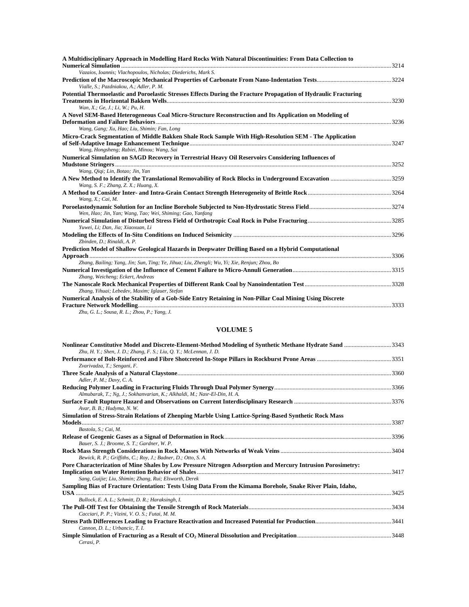| A Multidisciplinary Approach in Modelling Hard Rocks With Natural Discontinuities: From Data Collection to       |       |
|------------------------------------------------------------------------------------------------------------------|-------|
| Vazaios, Ioannis; Vlachopoulos, Nicholas; Diederichs, Mark S.                                                    |       |
| Vialle, S.; Pazdniakou, A.; Adler, P. M.                                                                         |       |
| Potential Thermoelastic and Poroelastic Stresses Effects During the Fracture Propagation of Hydraulic Fracturing |       |
| Wan, X.; Ge, J.; Li, W.; Pu, H.                                                                                  | .3230 |
| A Novel SEM-Based Heterogeneous Coal Micro-Structure Reconstruction and Its Application on Modeling of           |       |
|                                                                                                                  | .3236 |
| Wang, Gang; Xu, Hao; Liu, Shimin; Fan, Long                                                                      |       |
| Micro-Crack Segmentation of Middle Bakken Shale Rock Sample With High-Resolution SEM - The Application           |       |
|                                                                                                                  | .3247 |
| Wang, Hongsheng; Rabiei, Minou; Wang, Sai                                                                        |       |
| Numerical Simulation on SAGD Recovery in Terrestrial Heavy Oil Reservoirs Considering Influences of              |       |
|                                                                                                                  |       |
| Wang, Qiqi; Lin, Botao; Jin, Yan                                                                                 |       |
| Wang, S. F.; Zhang, Z. X.; Huang, X.                                                                             |       |
| Wang, X.; Cai, M.                                                                                                |       |
| Wen, Hao; Jin, Yan; Wang, Tao; Wei, Shiming; Gao, Yanfang                                                        |       |
| Yuwei, Li; Dan, Jia; Xiaoxuan, Li                                                                                |       |
| Zbinden, D.; Rinaldi, A. P.                                                                                      |       |
| Prediction Model of Shallow Geological Hazards in Deepwater Drilling Based on a Hybrid Computational             |       |
| Zhang, Bailing; Yang, Jin; Sun, Ting; Ye, Jihua; Liu, Zhengli; Wu, Yi; Xie, Renjun; Zhou, Bo                     |       |
| Zhang, Weicheng; Eckert, Andreas                                                                                 |       |
| Zhang, Yihuai; Lebedev, Maxim; Iglauer, Stefan                                                                   |       |
| Numerical Analysis of the Stability of a Gob-Side Entry Retaining in Non-Pillar Coal Mining Using Discrete       |       |
|                                                                                                                  |       |

*Zhu, G. L.; Sousa, R. L.; Zhou, P.; Yang, J.* 

#### **VOLUME 5**

| Nonlinear Constitutive Model and Discrete-Element-Method Modeling of Synthetic Methane Hydrate Sand 3343<br>Zhu, H. Y.; Shen, J. D.; Zhang, F. S.; Liu, Q. Y.; McLennan, J. D. |       |
|--------------------------------------------------------------------------------------------------------------------------------------------------------------------------------|-------|
| Zvarivadza, T.; Sengani, F.                                                                                                                                                    |       |
| Adler, P. M.; Davy, C. A.                                                                                                                                                      | 3360  |
| Almubarak, T.; Ng, J.; Sokhanvarian, K.; Alkhaldi, M.; Nasr-El-Din, H. A.                                                                                                      |       |
| Avar, B. B.; Hudyma, N. W.                                                                                                                                                     |       |
| Simulation of Stress-Strain Relations of Zhenping Marble Using Lattice-Spring-Based Synthetic Rock Mass                                                                        | 3387  |
| Bastola, S.; Cai, M.<br>Bauer, S. J.; Broome, S. T.; Gardner, W. P.                                                                                                            |       |
| Bewick, R. P.; Griffiths, C.; Roy, J.; Badner, D.; Otto, S. A.                                                                                                                 |       |
| Pore Characterization of Mine Shales by Low Pressure Nitrogen Adsorption and Mercury Intrusion Porosimetry:<br>Sang, Guijie; Liu, Shimin; Zhang, Rui; Elsworth, Derek          | .3417 |
| Sampling Bias of Fracture Orientation: Tests Using Data From the Kimama Borehole, Snake River Plain, Idaho,                                                                    | 3425  |
| Bullock, E. A. L.; Schmitt, D. R.; Haraksingh, I.<br>Cacciari, P. P.; Vizini, V. O. S.; Futai, M. M.                                                                           |       |
| Cannon, D. L.; Urbancic, T. I.                                                                                                                                                 | 3441  |
| Cerasi, P.                                                                                                                                                                     |       |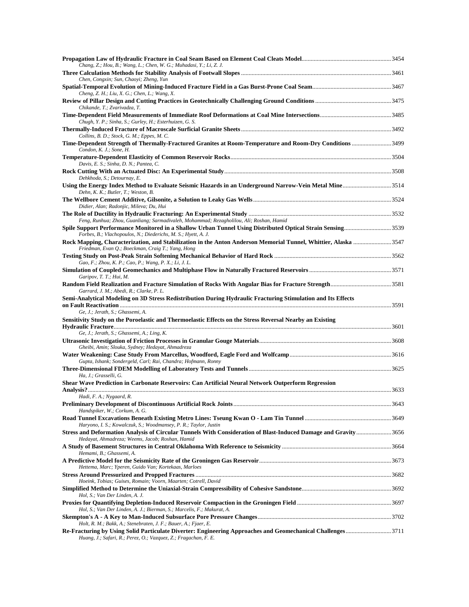| Chang, Z.; Hou, B.; Wang, L.; Chen, W. G.; Muhadasi, Y.; Li, Z. J.                                                                                                                  |  |
|-------------------------------------------------------------------------------------------------------------------------------------------------------------------------------------|--|
| Chen, Congxin; Sun, Chaoyi; Zheng, Yun                                                                                                                                              |  |
| Cheng, Z. H.; Liu, X. G.; Chen, L.; Wang, X.                                                                                                                                        |  |
| Chikande, T.; Zvarivadza, T.                                                                                                                                                        |  |
| Chugh, Y. P.; Sinha, S.; Gurley, H.; Esterhuizen, G. S.                                                                                                                             |  |
| Collins, B. D.; Stock, G. M.; Eppes, M. C.                                                                                                                                          |  |
| Time-Dependent Strength of Thermally-Fractured Granites at Room-Temperature and Room-Dry Conditions3499                                                                             |  |
| Condon, K. J.; Sone, H.                                                                                                                                                             |  |
| Davis, E. S.; Sinha, D. N.; Pantea, C.                                                                                                                                              |  |
| Dehkhoda, S.; Detournay, E.                                                                                                                                                         |  |
| Dehn, K. K.; Butler, T.; Weston, B.                                                                                                                                                 |  |
| Didier, Alan; Radonjic, Mileva; Du, Hui                                                                                                                                             |  |
| Feng, Runhua; Zhou, Guanliang; Sarmadivaleh, Mohammad; Rezagholilou, Ali; Roshan, Hamid                                                                                             |  |
| Spile Support Performance Monitored in a Shallow Urban Tunnel Using Distributed Optical Strain Sensing3539<br>Forbes, B.; Vlachopoulos, N.; Diederichs, M. S.; Hyett, A. J.         |  |
| Rock Mapping, Characterization, and Stabilization in the Anton Anderson Memorial Tunnel, Whittier, Alaska 3547<br>Friedman, Evan O.; Boeckman, Craig T.; Yang, Hong                 |  |
|                                                                                                                                                                                     |  |
| Gao, F.; Zhou, K. P.; Cao, P.; Wang, P. X.; Li, J. L.                                                                                                                               |  |
| Garipov, T. T.; Hui, M.                                                                                                                                                             |  |
| Garrard, J. M.; Abedi, R.; Clarke, P. L.<br>Semi-Analytical Modeling on 3D Stress Redistribution During Hydraulic Fracturing Stimulation and Its Effects                            |  |
| Ge, J.; Jerath, S.; Ghassemi, A.                                                                                                                                                    |  |
| Sensitivity Study on the Poroelastic and Thermoelastic Effects on the Stress Reversal Nearby an Existing                                                                            |  |
| Ge, J.; Jerath, S.; Ghassemi, A.; Ling, K.                                                                                                                                          |  |
|                                                                                                                                                                                     |  |
| Gheibi, Amin; Slouka, Sydney; Hedayat, Ahmadreza                                                                                                                                    |  |
| Gupta, Ishank; Sondergeld, Carl; Rai, Chandra; Hofmann, Ronny                                                                                                                       |  |
| Ha, J.; Grasselli, G.                                                                                                                                                               |  |
| Shear Wave Prediction in Carbonate Reservoirs: Can Artificial Neural Network Outperform Regression                                                                                  |  |
| Hadi, F. A.; Nygaard, R.                                                                                                                                                            |  |
| Handspiker, W.; Corkum, A. G.                                                                                                                                                       |  |
|                                                                                                                                                                                     |  |
| Haryono, I. S.; Kowalczuk, S.; Woodmansey, P. R.; Taylor, Justin<br>Stress and Deformation Analysis of Circular Tunnels With Consideration of Blast-Induced Damage and Gravity 3656 |  |
| Hedayat, Ahmadreza; Weems, Jacob; Roshan, Hamid                                                                                                                                     |  |
| Hemami, B.; Ghassemi, A.                                                                                                                                                            |  |
| Hettema, Marc; Yperen, Guido Van; Kortekaas, Marloes                                                                                                                                |  |
| Hoeink, Tobias; Guises, Romain; Voorn, Maarten; Cotrell, David                                                                                                                      |  |
| Hol, S.; Van Der Linden, A. J.                                                                                                                                                      |  |
| Hol, S.; Van Der Linden, A. J.; Bierman, S.; Marcelis, F.; Makurat, A.                                                                                                              |  |
| Holt, R. M.; Bakk, A.; Stenebraten, J. F.; Bauer, A.; Fjaer, E.                                                                                                                     |  |
| Re-Fracturing by Using Solid Particulate Diverter: Engineering Approaches and Geomechanical Challenges3711<br>Huang, J.; Safari, R.; Perez, O.; Vazquez, Z.; Fragachan, F. E.       |  |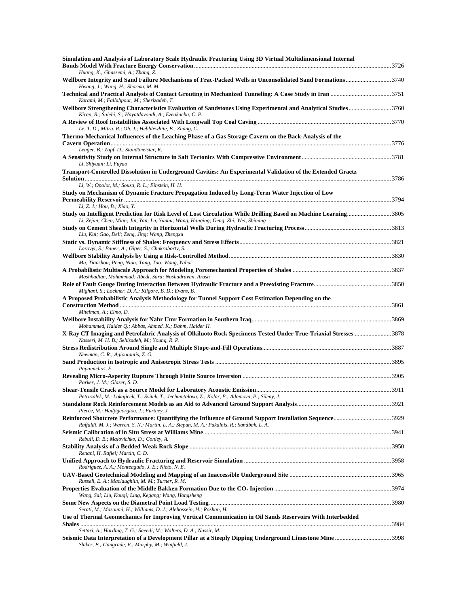| Simulation and Analysis of Laboratory Scale Hydraulic Fracturing Using 3D Virtual Multidimensional Internal                                                                                           |  |
|-------------------------------------------------------------------------------------------------------------------------------------------------------------------------------------------------------|--|
| Huang, K.; Ghassemi, A.; Zhang, Z.                                                                                                                                                                    |  |
| Wellbore Integrity and Sand Failure Mechanisms of Frac-Packed Wells in Unconsolidated Sand Formations3740<br>Hwang, J.; Wang, H.; Sharma, M. M.                                                       |  |
| Karami, M.; Fallahpour, M.; Sherizadeh, T.                                                                                                                                                            |  |
| Kiran, R.; Salehi, S.; Hayatdavoudi, A.; Ezeakacha, C. P.                                                                                                                                             |  |
| Le, T. D.; Mitra, R.; Oh, J.; Hebblewhite, B.; Zhang, C.                                                                                                                                              |  |
| Thermo-Mechanical Influences of the Leaching Phase of a Gas Storage Cavern on the Back-Analysis of the                                                                                                |  |
| Leuger, B.; Zapf, D.; Staudtmeister, K.                                                                                                                                                               |  |
| Li, Shiyuan; Li, Fuyao                                                                                                                                                                                |  |
| Transport-Controlled Dissolution in Underground Cavities: An Experimental Validation of the Extended Graetz                                                                                           |  |
| Li, W.; Opolot, M.; Sousa, R. L.; Einstein, H. H.                                                                                                                                                     |  |
| Study on Mechanism of Dynamic Fracture Propagation Induced by Long-Term Water Injection of Low                                                                                                        |  |
| Li, Z. J.; Hou, B.; Xiao, Y.                                                                                                                                                                          |  |
| Study on Intelligent Prediction for Risk Level of Lost Circulation While Drilling Based on Machine Learning3805<br>Li, Zejun; Chen, Mian; Jin, Yan; Lu, Yunhu; Wang, Hanqing; Geng, Zhi; Wei, Shiming |  |
| Liu, Kui; Gao, Deli; Zeng, Jing; Wang, Zhengxu                                                                                                                                                        |  |
| Lozovyi, S.; Bauer, A.; Giger, S.; Chakraborty, S.                                                                                                                                                    |  |
|                                                                                                                                                                                                       |  |
| Ma, Tianshou; Peng, Nian; Tang, Tao; Wang, Yahui                                                                                                                                                      |  |
| Mashhadian, Mohammad; Abedi, Sara; Noshadravan, Arash                                                                                                                                                 |  |
| Mighani, S.; Lockner, D. A.; Kilgore, B. D.; Evans, B.                                                                                                                                                |  |
| A Proposed Probabilistic Analysis Methodology for Tunnel Support Cost Estimation Depending on the                                                                                                     |  |
| Mitelman, A.; Elmo, D.                                                                                                                                                                                |  |
| Mohammed, Haider Q.; Abbas, Ahmed. K.; Dahm, Haider H.                                                                                                                                                |  |
| X-Ray CT Imaging and Petrofabric Analysis of Olkiluoto Rock Specimens Tested Under True-Triaxial Stresses 3878<br>Nasseri, M. H. B.; Sehizadeh, M.; Young, R. P.                                      |  |
| Newman, C. R.; Agioutantis, Z. G.                                                                                                                                                                     |  |
| Papamichos, E.                                                                                                                                                                                        |  |
| Parker, J. M.: Glaser, S. D.                                                                                                                                                                          |  |
| Petruzalek, M.; Lokajicek, T.; Svitek, T.; Jechumtalova, Z.; Kolar, P.; Adamova, P.; Sileny, J.                                                                                                       |  |
| Pierce, M.; Hadjigeorgiou, J.; Furtney, J.                                                                                                                                                            |  |
| Raffaldi, M. J.; Warren, S. N.; Martin, L. A.; Stepan, M. A.; Pakalnis, R.; Sandbak, L. A.                                                                                                            |  |
| Rebuli, D. B.; Malovichko, D.; Conley, A.                                                                                                                                                             |  |
|                                                                                                                                                                                                       |  |
| Renani, H. Rafiei; Martin, C. D.                                                                                                                                                                      |  |
| Rodriguez, A. A.; Monteagudo, J. E.; Nieto, N. E.                                                                                                                                                     |  |
| Russell, E. A.; Maclaughlin, M. M.; Turner, R. M.                                                                                                                                                     |  |
| Wang, Sai; Liu, Kouqi; Ling, Kegang; Wang, Hongsheng                                                                                                                                                  |  |
| Serati, M.; Masoumi, H.; Williams, D. J.; Alehossein, H.; Roshan, H.                                                                                                                                  |  |
| Use of Thermal Geomechanics for Improving Vertical Communication in Oil Sands Reservoirs With Interbedded                                                                                             |  |
| Settari, A.; Harding, T. G.; Saeedi, M.; Walters, D. A.; Nassir, M.                                                                                                                                   |  |
| Seismic Data Interpretation of a Development Pillar at a Steeply Dipping Underground Limestone Mine 3998<br>Slaker, B.; Gangrade, V.; Murphy, M.; Winfield, J.                                        |  |